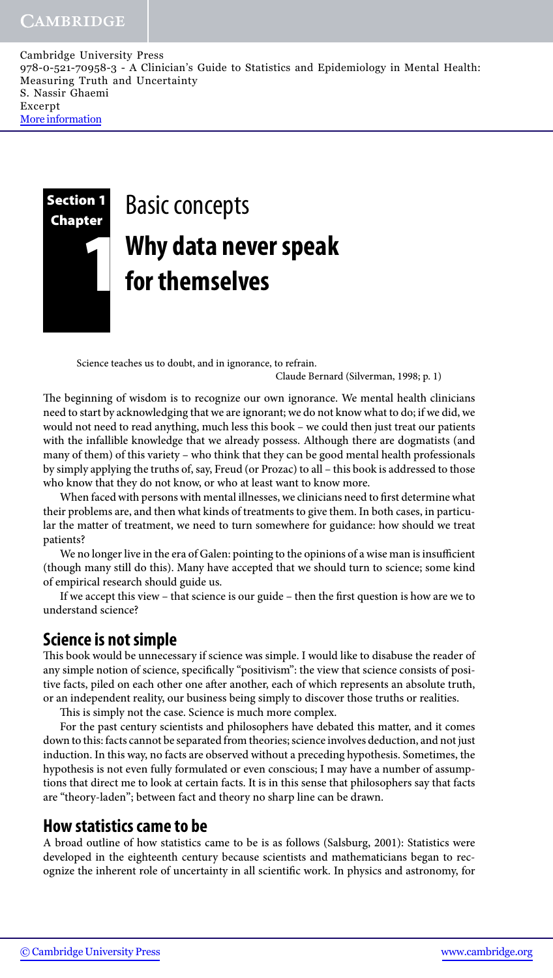## **Section 1** Basic concepts **Chapter 1 Why data never speak for themselves**

Science teaches us to doubt, and in ignorance, to refrain.

Claude Bernard (Silverman, 1998; p. 1)

The beginning of wisdom is to recognize our own ignorance. We mental health clinicians need to start by acknowledging that we are ignorant; we do not know what to do; if we did, we would not need to read anything, much less this book – we could then just treat our patients with the infallible knowledge that we already possess. Although there are dogmatists (and many of them) of this variety – who think that they can be good mental health professionals by simply applying the truths of, say, Freud (or Prozac) to all – this book is addressed to those who know that they do not know, or who at least want to know more.

When faced with persons with mental illnesses, we clinicians need to first determine what their problems are, and then what kinds of treatments to give them. In both cases, in particular the matter of treatment, we need to turn somewhere for guidance: how should we treat patients?

We no longer live in the era of Galen: pointing to the opinions of a wise man is insufficient (though many still do this). Many have accepted that we should turn to science; some kind of empirical research should guide us.

If we accept this view – that science is our guide – then the first question is how are we to understand science?

#### **Science is not simple**

This book would be unnecessary if science was simple. I would like to disabuse the reader of any simple notion of science, specifically "positivism": the view that science consists of positive facts, piled on each other one after another, each of which represents an absolute truth, or an independent reality, our business being simply to discover those truths or realities.

This is simply not the case. Science is much more complex.

For the past century scientists and philosophers have debated this matter, and it comes down to this: facts cannot be separated from theories; science involves deduction, and not just induction. In this way, no facts are observed without a preceding hypothesis. Sometimes, the hypothesis is not even fully formulated or even conscious; I may have a number of assumptions that direct me to look at certain facts. It is in this sense that philosophers say that facts are "theory-laden"; between fact and theory no sharp line can be drawn.

#### **How statistics came to be**

A broad outline of how statistics came to be is as follows (Salsburg, 2001): Statistics were developed in the eighteenth century because scientists and mathematicians began to recognize the inherent role of uncertainty in all scientific work. In physics and astronomy, for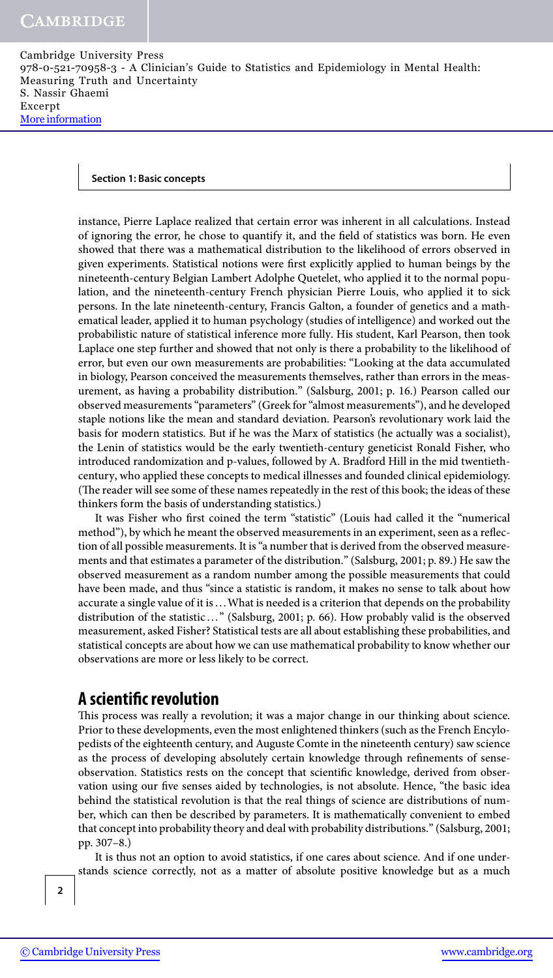instance, Pierre Laplace realized that certain error was inherent in all calculations. Instead of ignoring the error, he chose to quantify it, and the field of statistics was born. He even showed that there was a mathematical distribution to the likelihood of errors observed in given experiments. Statistical notions were first explicitly applied to human beings by the nineteenth-century Belgian Lambert Adolphe Quetelet, who applied it to the normal population, and the nineteenth-century French physician Pierre Louis, who applied it to sick persons. In the late nineteenth-century, Francis Galton, a founder of genetics and a mathematical leader, applied it to human psychology (studies of intelligence) and worked out the probabilistic nature of statistical inference more fully. His student, Karl Pearson, then took Laplace one step further and showed that not only is there a probability to the likelihood of error, but even our own measurements are probabilities: "Looking at the data accumulated in biology, Pearson conceived the measurements themselves, rather than errors in the measurement, as having a probability distribution." (Salsburg, 2001; p. 16.) Pearson called our observed measurements "parameters" (Greek for "almost measurements"), and he developed staple notions like the mean and standard deviation. Pearson's revolutionary work laid the basis for modern statistics. But if he was the Marx of statistics (he actually was a socialist), the Lenin of statistics would be the early twentieth-century geneticist Ronald Fisher, who introduced randomization and p-values, followed by A. Bradford Hill in the mid twentiethcentury, who applied these concepts to medical illnesses and founded clinical epidemiology. (The reader will see some of these names repeatedly in the rest of this book; the ideas of these thinkers form the basis of understanding statistics.)

It was Fisher who first coined the term "statistic" (Louis had called it the "numerical method"), by which he meant the observed measurements in an experiment, seen as a reflection of all possible measurements. It is "a number that is derived from the observed measurements and that estimates a parameter of the distribution." (Salsburg, 2001; p. 89.) He saw the observed measurement as a random number among the possible measurements that could have been made, and thus "since a statistic is random, it makes no sense to talk about how accurate a single value of it is ...What is needed is a criterion that depends on the probability distribution of the statistic ... " (Salsburg, 2001; p. 66). How probably valid is the observed measurement, asked Fisher? Statistical tests are all about establishing these probabilities, and statistical concepts are about how we can use mathematical probability to know whether our observations are more or less likely to be correct.

#### **A scientific revolution**

This process was really a revolution; it was a major change in our thinking about science. Prior to these developments, even the most enlightened thinkers (such as the French Encylopedists of the eighteenth century, and Auguste Comte in the nineteenth century) saw science as the process of developing absolutely certain knowledge through refinements of senseobservation. Statistics rests on the concept that scientific knowledge, derived from observation using our five senses aided by technologies, is not absolute. Hence, "the basic idea behind the statistical revolution is that the real things of science are distributions of number, which can then be described by parameters. It is mathematically convenient to embed that concept into probability theory and deal with probability distributions." (Salsburg, 2001; pp. 307–8.)

It is thus not an option to avoid statistics, if one cares about science. And if one understands science correctly, not as a matter of absolute positive knowledge but as a much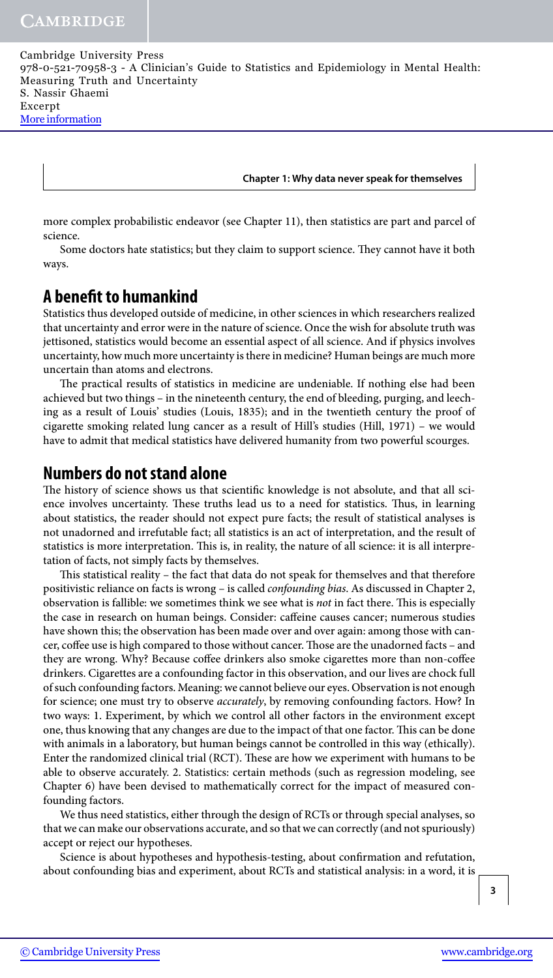**Chapter 1: Why data never speak for themselves**

more complex probabilistic endeavor (see Chapter 11), then statistics are part and parcel of science.

Some doctors hate statistics; but they claim to support science. They cannot have it both ways.

### **A benefit to humankind**

Statistics thus developed outside of medicine, in other sciences in which researchers realized that uncertainty and error were in the nature of science. Once the wish for absolute truth was jettisoned, statistics would become an essential aspect of all science. And if physics involves uncertainty, how much more uncertainty is there in medicine? Human beings are much more uncertain than atoms and electrons.

The practical results of statistics in medicine are undeniable. If nothing else had been achieved but two things – in the nineteenth century, the end of bleeding, purging, and leeching as a result of Louis' studies (Louis, 1835); and in the twentieth century the proof of cigarette smoking related lung cancer as a result of Hill's studies (Hill, 1971) – we would have to admit that medical statistics have delivered humanity from two powerful scourges.

#### **Numbers do not stand alone**

The history of science shows us that scientific knowledge is not absolute, and that all science involves uncertainty. These truths lead us to a need for statistics. Thus, in learning about statistics, the reader should not expect pure facts; the result of statistical analyses is not unadorned and irrefutable fact; all statistics is an act of interpretation, and the result of statistics is more interpretation. This is, in reality, the nature of all science: it is all interpretation of facts, not simply facts by themselves.

This statistical reality – the fact that data do not speak for themselves and that therefore positivistic reliance on facts is wrong – is called *confounding bias*. As discussed in Chapter 2, observation is fallible: we sometimes think we see what is *not* in fact there. This is especially the case in research on human beings. Consider: caffeine causes cancer; numerous studies have shown this; the observation has been made over and over again: among those with cancer, coffee use is high compared to those without cancer. Those are the unadorned facts – and they are wrong. Why? Because coffee drinkers also smoke cigarettes more than non-coffee drinkers. Cigarettes are a confounding factor in this observation, and our lives are chock full of such confounding factors. Meaning: we cannot believe our eyes. Observation is not enough for science; one must try to observe *accurately*, by removing confounding factors. How? In two ways: 1. Experiment, by which we control all other factors in the environment except one, thus knowing that any changes are due to the impact of that one factor. This can be done with animals in a laboratory, but human beings cannot be controlled in this way (ethically). Enter the randomized clinical trial (RCT). These are how we experiment with humans to be able to observe accurately. 2. Statistics: certain methods (such as regression modeling, see Chapter 6) have been devised to mathematically correct for the impact of measured confounding factors.

We thus need statistics, either through the design of RCTs or through special analyses, so that we can make our observations accurate, and so that we can correctly (and not spuriously) accept or reject our hypotheses.

Science is about hypotheses and hypothesis-testing, about confirmation and refutation, about confounding bias and experiment, about RCTs and statistical analysis: in a word, it is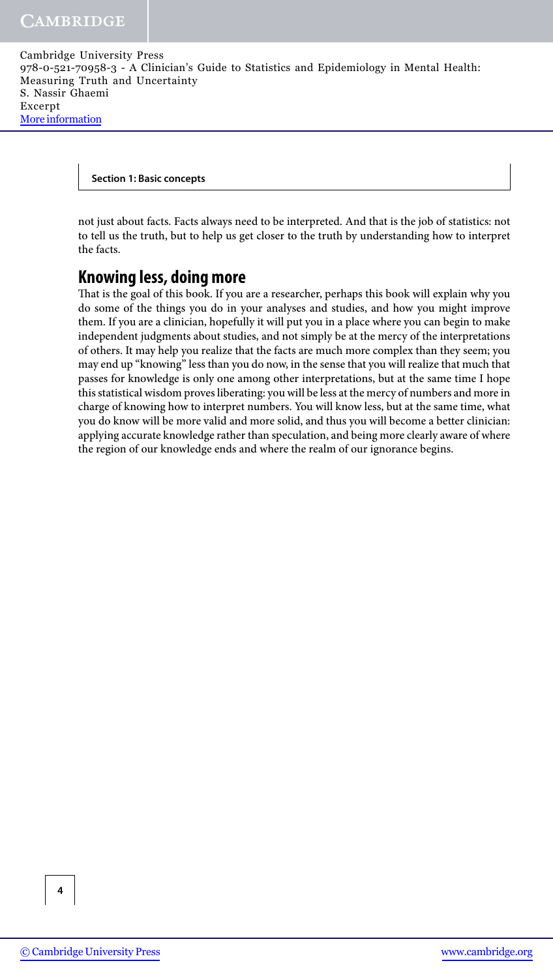not just about facts. Facts always need to be interpreted. And that is the job of statistics: not to tell us the truth, but to help us get closer to the truth by understanding how to interpret the facts.

#### **Knowing less, doing more**

That is the goal of this book. If you are a researcher, perhaps this book will explain why you do some of the things you do in your analyses and studies, and how you might improve them. If you are a clinician, hopefully it will put you in a place where you can begin to make independent judgments about studies, and not simply be at the mercy of the interpretations of others. It may help you realize that the facts are much more complex than they seem; you may end up "knowing" less than you do now, in the sense that you will realize that much that passes for knowledge is only one among other interpretations, but at the same time I hope this statistical wisdom proves liberating: you will be less at the mercy of numbers and more in charge of knowing how to interpret numbers. You will know less, but at the same time, what you do know will be more valid and more solid, and thus you will become a better clinician: applying accurate knowledge rather than speculation, and being more clearly aware of where the region of our knowledge ends and where the realm of our ignorance begins.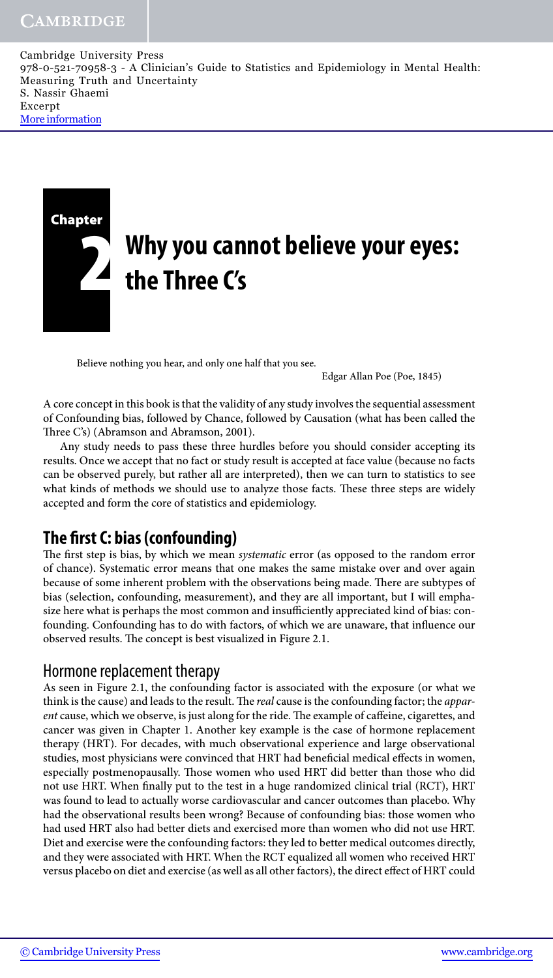# **Chapter 2 Why you cannot believe your eyes: the Three C's**

Believe nothing you hear, and only one half that you see.

Edgar Allan Poe (Poe, 1845)

A core concept in this book is that the validity of any study involves the sequential assessment of Confounding bias, followed by Chance, followed by Causation (what has been called the Three C's) (Abramson and Abramson, 2001).

Any study needs to pass these three hurdles before you should consider accepting its results. Once we accept that no fact or study result is accepted at face value (because no facts can be observed purely, but rather all are interpreted), then we can turn to statistics to see what kinds of methods we should use to analyze those facts. These three steps are widely accepted and form the core of statistics and epidemiology.

#### **The first C: bias (confounding)**

The first step is bias, by which we mean *systematic* error (as opposed to the random error of chance). Systematic error means that one makes the same mistake over and over again because of some inherent problem with the observations being made. There are subtypes of bias (selection, confounding, measurement), and they are all important, but I will emphasize here what is perhaps the most common and insufficiently appreciated kind of bias: confounding. Confounding has to do with factors, of which we are unaware, that influence our observed results. The concept is best visualized in Figure 2.1.

#### Hormone replacement therapy

As seen in Figure 2.1, the confounding factor is associated with the exposure (or what we think is the cause) and leads to the result. The *real* cause is the confounding factor; the *apparent* cause, which we observe, is just along for the ride. The example of caffeine, cigarettes, and cancer was given in Chapter 1. Another key example is the case of hormone replacement therapy (HRT). For decades, with much observational experience and large observational studies, most physicians were convinced that HRT had beneficial medical effects in women, especially postmenopausally. Those women who used HRT did better than those who did not use HRT. When finally put to the test in a huge randomized clinical trial (RCT), HRT was found to lead to actually worse cardiovascular and cancer outcomes than placebo. Why had the observational results been wrong? Because of confounding bias: those women who had used HRT also had better diets and exercised more than women who did not use HRT. Diet and exercise were the confounding factors: they led to better medical outcomes directly, and they were associated with HRT. When the RCT equalized all women who received HRT versus placebo on diet and exercise (as well as all other factors), the direct effect of HRT could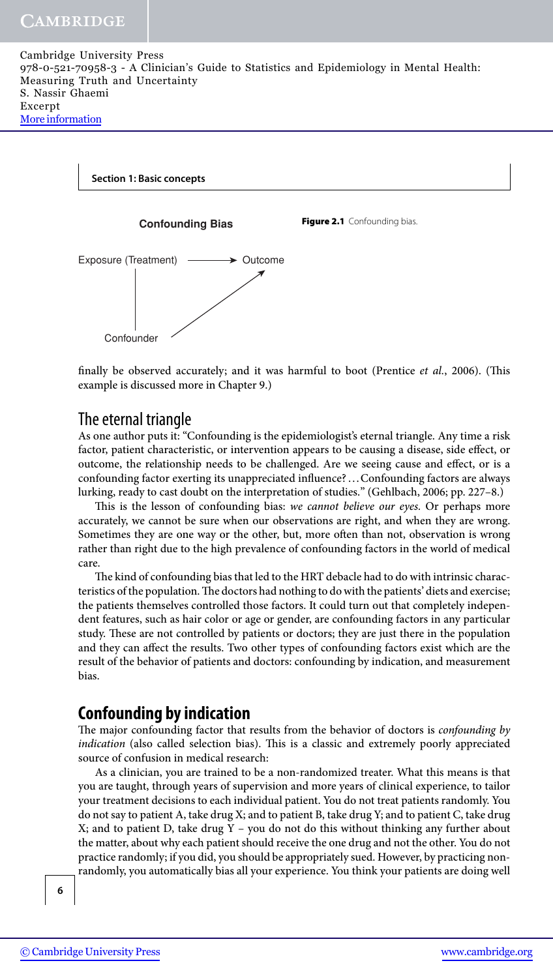

finally be observed accurately; and it was harmful to boot (Prentice *et al.*, 2006). (This example is discussed more in Chapter 9.)

#### The eternal triangle

As one author puts it: "Confounding is the epidemiologist's eternal triangle. Any time a risk factor, patient characteristic, or intervention appears to be causing a disease, side effect, or outcome, the relationship needs to be challenged. Are we seeing cause and effect, or is a confounding factor exerting its unappreciated influence? ...Confounding factors are always lurking, ready to cast doubt on the interpretation of studies." (Gehlbach, 2006; pp. 227–8.)

This is the lesson of confounding bias: *we cannot believe our eyes.* Or perhaps more accurately, we cannot be sure when our observations are right, and when they are wrong. Sometimes they are one way or the other, but, more often than not, observation is wrong rather than right due to the high prevalence of confounding factors in the world of medical care.

The kind of confounding bias that led to the HRT debacle had to do with intrinsic characteristics of the population.The doctors had nothing to do with the patients' diets and exercise; the patients themselves controlled those factors. It could turn out that completely independent features, such as hair color or age or gender, are confounding factors in any particular study. These are not controlled by patients or doctors; they are just there in the population and they can affect the results. Two other types of confounding factors exist which are the result of the behavior of patients and doctors: confounding by indication, and measurement bias.

## **Confounding by indication**

The major confounding factor that results from the behavior of doctors is *confounding by indication* (also called selection bias). This is a classic and extremely poorly appreciated source of confusion in medical research:

As a clinician, you are trained to be a non-randomized treater. What this means is that you are taught, through years of supervision and more years of clinical experience, to tailor your treatment decisions to each individual patient. You do not treat patients randomly. You do not say to patient A, take drug X; and to patient B, take drug Y; and to patient C, take drug X; and to patient D, take drug Y – you do not do this without thinking any further about the matter, about why each patient should receive the one drug and not the other. You do not practice randomly; if you did, you should be appropriately sued. However, by practicing nonrandomly, you automatically bias all your experience. You think your patients are doing well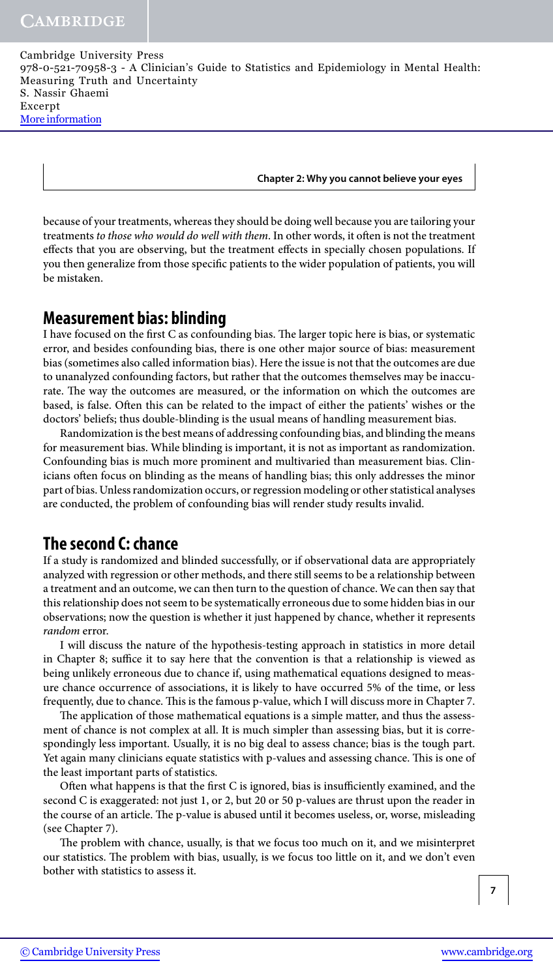**Chapter 2: Why you cannot believe your eyes**

because of your treatments, whereas they should be doing well because you are tailoring your treatments *to those who would do well with them*. In other words, it often is not the treatment effects that you are observing, but the treatment effects in specially chosen populations. If you then generalize from those specific patients to the wider population of patients, you will be mistaken.

#### **Measurement bias: blinding**

I have focused on the first C as confounding bias. The larger topic here is bias, or systematic error, and besides confounding bias, there is one other major source of bias: measurement bias (sometimes also called information bias). Here the issue is not that the outcomes are due to unanalyzed confounding factors, but rather that the outcomes themselves may be inaccurate. The way the outcomes are measured, or the information on which the outcomes are based, is false. Often this can be related to the impact of either the patients' wishes or the doctors' beliefs; thus double-blinding is the usual means of handling measurement bias.

Randomization is the best means of addressing confounding bias, and blinding the means for measurement bias. While blinding is important, it is not as important as randomization. Confounding bias is much more prominent and multivaried than measurement bias. Clinicians often focus on blinding as the means of handling bias; this only addresses the minor part of bias. Unless randomization occurs, or regression modeling or other statistical analyses are conducted, the problem of confounding bias will render study results invalid.

## **The second C: chance**

If a study is randomized and blinded successfully, or if observational data are appropriately analyzed with regression or other methods, and there still seems to be a relationship between a treatment and an outcome, we can then turn to the question of chance. We can then say that this relationship does not seem to be systematically erroneous due to some hidden bias in our observations; now the question is whether it just happened by chance, whether it represents *random* error.

I will discuss the nature of the hypothesis-testing approach in statistics in more detail in Chapter 8; suffice it to say here that the convention is that a relationship is viewed as being unlikely erroneous due to chance if, using mathematical equations designed to measure chance occurrence of associations, it is likely to have occurred 5% of the time, or less frequently, due to chance. This is the famous p-value, which I will discuss more in Chapter 7.

The application of those mathematical equations is a simple matter, and thus the assessment of chance is not complex at all. It is much simpler than assessing bias, but it is correspondingly less important. Usually, it is no big deal to assess chance; bias is the tough part. Yet again many clinicians equate statistics with p-values and assessing chance. This is one of the least important parts of statistics.

Often what happens is that the first C is ignored, bias is insufficiently examined, and the second C is exaggerated: not just 1, or 2, but 20 or 50 p-values are thrust upon the reader in the course of an article. The p-value is abused until it becomes useless, or, worse, misleading (see Chapter 7).

The problem with chance, usually, is that we focus too much on it, and we misinterpret our statistics. The problem with bias, usually, is we focus too little on it, and we don't even bother with statistics to assess it.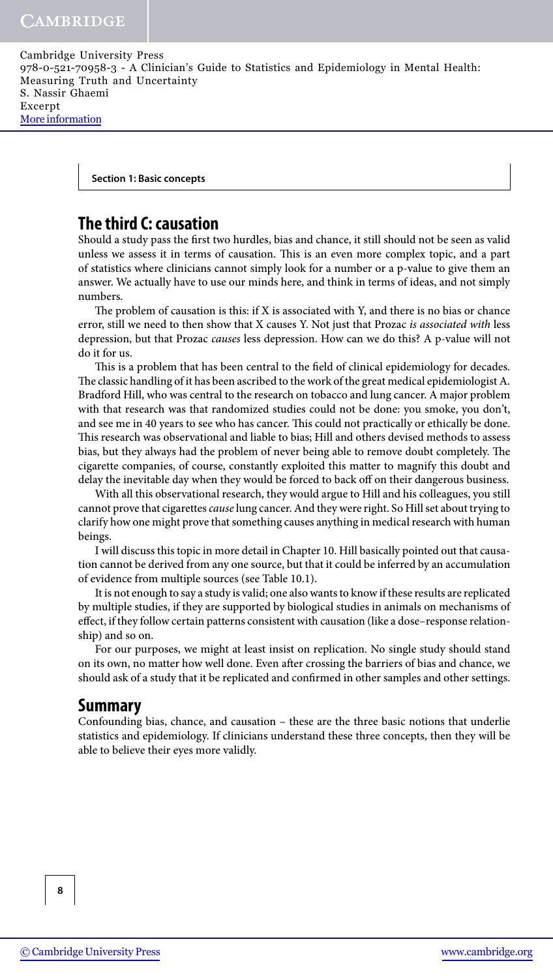#### **The third C: causation**

Should a study pass the first two hurdles, bias and chance, it still should not be seen as valid unless we assess it in terms of causation. This is an even more complex topic, and a part of statistics where clinicians cannot simply look for a number or a p-value to give them an answer. We actually have to use our minds here, and think in terms of ideas, and not simply numbers.

The problem of causation is this: if X is associated with Y, and there is no bias or chance error, still we need to then show that X causes Y. Not just that Prozac *is associated with* less depression, but that Prozac *causes* less depression. How can we do this? A p-value will not do it for us.

This is a problem that has been central to the field of clinical epidemiology for decades. The classic handling of it has been ascribed to the work of the great medical epidemiologist A. Bradford Hill, who was central to the research on tobacco and lung cancer. A major problem with that research was that randomized studies could not be done: you smoke, you don't, and see me in 40 years to see who has cancer. This could not practically or ethically be done. This research was observational and liable to bias; Hill and others devised methods to assess bias, but they always had the problem of never being able to remove doubt completely. The cigarette companies, of course, constantly exploited this matter to magnify this doubt and delay the inevitable day when they would be forced to back off on their dangerous business.

With all this observational research, they would argue to Hill and his colleagues, you still cannot prove that cigarettes*cause* lung cancer. And they were right. So Hill set about trying to clarify how one might prove that something causes anything in medical research with human beings.

I will discuss this topic in more detail in Chapter 10. Hill basically pointed out that causation cannot be derived from any one source, but that it could be inferred by an accumulation of evidence from multiple sources (see Table 10.1).

It is not enough to say a study is valid; one also wants to know if these results are replicated by multiple studies, if they are supported by biological studies in animals on mechanisms of effect, if they follow certain patterns consistent with causation (like a dose–response relationship) and so on.

For our purposes, we might at least insist on replication. No single study should stand on its own, no matter how well done. Even after crossing the barriers of bias and chance, we should ask of a study that it be replicated and confirmed in other samples and other settings.

#### **Summary**

Confounding bias, chance, and causation – these are the three basic notions that underlie statistics and epidemiology. If clinicians understand these three concepts, then they will be able to believe their eyes more validly.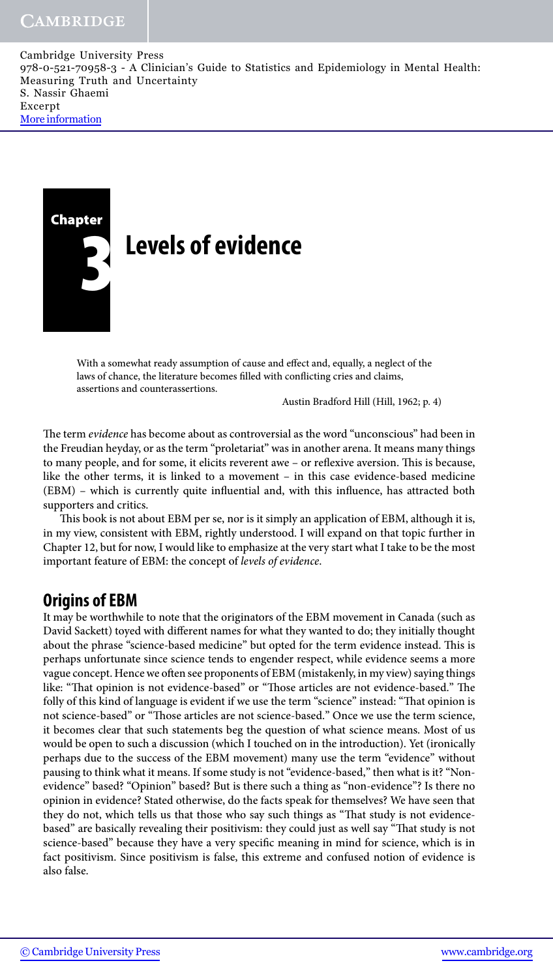

With a somewhat ready assumption of cause and effect and, equally, a neglect of the laws of chance, the literature becomes filled with conflicting cries and claims, assertions and counterassertions.

Austin Bradford Hill (Hill, 1962; p. 4)

The term *evidence* has become about as controversial as the word "unconscious" had been in the Freudian heyday, or as the term "proletariat" was in another arena. It means many things to many people, and for some, it elicits reverent awe – or reflexive aversion. This is because, like the other terms, it is linked to a movement – in this case evidence-based medicine (EBM) – which is currently quite influential and, with this influence, has attracted both supporters and critics.

This book is not about EBM per se, nor is it simply an application of EBM, although it is, in my view, consistent with EBM, rightly understood. I will expand on that topic further in Chapter 12, but for now, I would like to emphasize at the very start what I take to be the most important feature of EBM: the concept of *levels of evidence*.

## **Origins of EBM**

It may be worthwhile to note that the originators of the EBM movement in Canada (such as David Sackett) toyed with different names for what they wanted to do; they initially thought about the phrase "science-based medicine" but opted for the term evidence instead. This is perhaps unfortunate since science tends to engender respect, while evidence seems a more vague concept. Hence we often see proponents of EBM (mistakenly, in my view) saying things like: "That opinion is not evidence-based" or "Those articles are not evidence-based." The folly of this kind of language is evident if we use the term "science" instead: "That opinion is not science-based" or "Those articles are not science-based." Once we use the term science, it becomes clear that such statements beg the question of what science means. Most of us would be open to such a discussion (which I touched on in the introduction). Yet (ironically perhaps due to the success of the EBM movement) many use the term "evidence" without pausing to think what it means. If some study is not "evidence-based," then what is it? "Nonevidence" based? "Opinion" based? But is there such a thing as "non-evidence"? Is there no opinion in evidence? Stated otherwise, do the facts speak for themselves? We have seen that they do not, which tells us that those who say such things as "That study is not evidencebased" are basically revealing their positivism: they could just as well say "That study is not science-based" because they have a very specific meaning in mind for science, which is in fact positivism. Since positivism is false, this extreme and confused notion of evidence is also false.